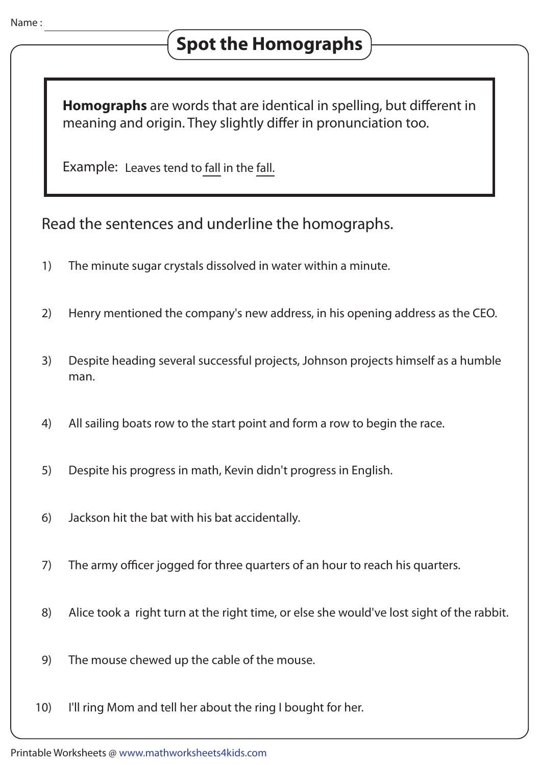**Homographs** are words that are identical in spelling, but different in meaning and origin. They slightly differ in pronunciation too.

Example: Leaves tend to fall in the fall.

Read the sentences and underline the homographs.

- 1) The minute sugar crystals dissolved in water within a minute.
- 2) Henry mentioned the company's new address, in his opening address as the CEO.
- 3) Despite heading several successful projects, Johnson projects himself as a humble man.
- 4) All sailing boats row to the start point and form a row to begin the race.
- 5) Despite his progress in math, Kevin didn't progress in English.
- 6) Jackson hit the bat with his bat accidentally.
- 7) The army officer jogged for three quarters of an hour to reach his quarters.
- 8) Alice took a right turn at the right time, or else she would've lost sight of the rabbit.
- 9) The mouse chewed up the cable of the mouse.
- 10) I'll ring Mom and tell her about the ring I bought for her.